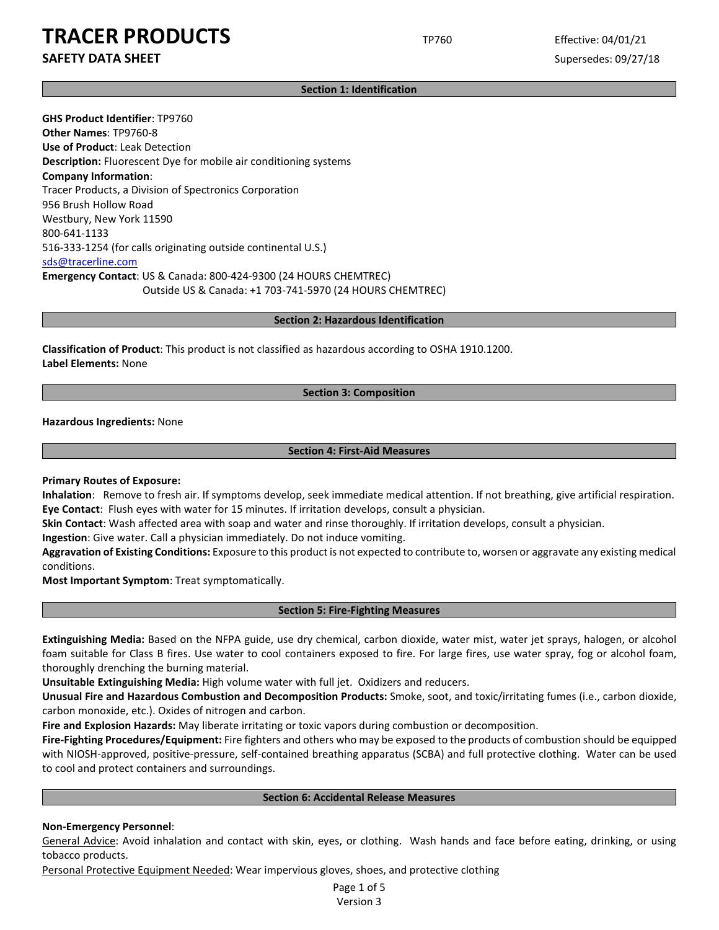**SAFETY DATA SHEET** SUPERFOUR SUPERFOUR SUPERFOUR SUPERFOUR SUPERFOUR SUPERFOUR SUPERFOUR SUPERFOUR SUPERFOUR SUPERFOUR SUPERFOUR SUPERFOUR SUPERFOUR SUPERFOUR SUPERFOUR SUPERFOUR SUPERFOUR SUPERFOUR SUPERFOUR SUPERFOUR SU

# **Section 1: Identification**

**GHS Product Identifier**: TP9760 **Other Names**: TP9760-8 **Use of Product**: Leak Detection **Description:** Fluorescent Dye for mobile air conditioning systems **Company Information**: Tracer Products, a Division of Spectronics Corporation 956 Brush Hollow Road Westbury, New York 11590 800-641-1133 516-333-1254 (for calls originating outside continental U.S.) sds@tracerline.com **Emergency Contact**: US & Canada: 800-424-9300 (24 HOURS CHEMTREC) Outside US & Canada: +1 703-741-5970 (24 HOURS CHEMTREC)

**Section 2: Hazardous Identification**

**Classification of Product**: This product is not classified as hazardous according to OSHA 1910.1200. **Label Elements:** None

# **Section 3: Composition**

**Hazardous Ingredients:** None

# **Section 4: First-Aid Measures**

**Primary Routes of Exposure:**

**Inhalation**: Remove to fresh air. If symptoms develop, seek immediate medical attention. If not breathing, give artificial respiration. **Eye Contact**: Flush eyes with water for 15 minutes. If irritation develops, consult a physician.

**Skin Contact**: Wash affected area with soap and water and rinse thoroughly. If irritation develops, consult a physician.

**Ingestion**: Give water. Call a physician immediately. Do not induce vomiting.

**Aggravation of Existing Conditions:** Exposure to this product is not expected to contribute to, worsen or aggravate any existing medical conditions.

**Most Important Symptom**: Treat symptomatically.

# **Section 5: Fire-Fighting Measures**

**Extinguishing Media:** Based on the NFPA guide, use dry chemical, carbon dioxide, water mist, water jet sprays, halogen, or alcohol foam suitable for Class B fires. Use water to cool containers exposed to fire. For large fires, use water spray, fog or alcohol foam, thoroughly drenching the burning material.

**Unsuitable Extinguishing Media:** High volume water with full jet. Oxidizers and reducers.

**Unusual Fire and Hazardous Combustion and Decomposition Products:** Smoke, soot, and toxic/irritating fumes (i.e., carbon dioxide, carbon monoxide, etc.). Oxides of nitrogen and carbon.

**Fire and Explosion Hazards:** May liberate irritating or toxic vapors during combustion or decomposition.

**Fire-Fighting Procedures/Equipment:** Fire fighters and others who may be exposed to the products of combustion should be equipped with NIOSH-approved, positive-pressure, self-contained breathing apparatus (SCBA) and full protective clothing. Water can be used to cool and protect containers and surroundings.

# **Section 6: Accidental Release Measures**

# **Non-Emergency Personnel**:

General Advice: Avoid inhalation and contact with skin, eyes, or clothing. Wash hands and face before eating, drinking, or using tobacco products.

Personal Protective Equipment Needed: Wear impervious gloves, shoes, and protective clothing

Page 1 of 5 Version 3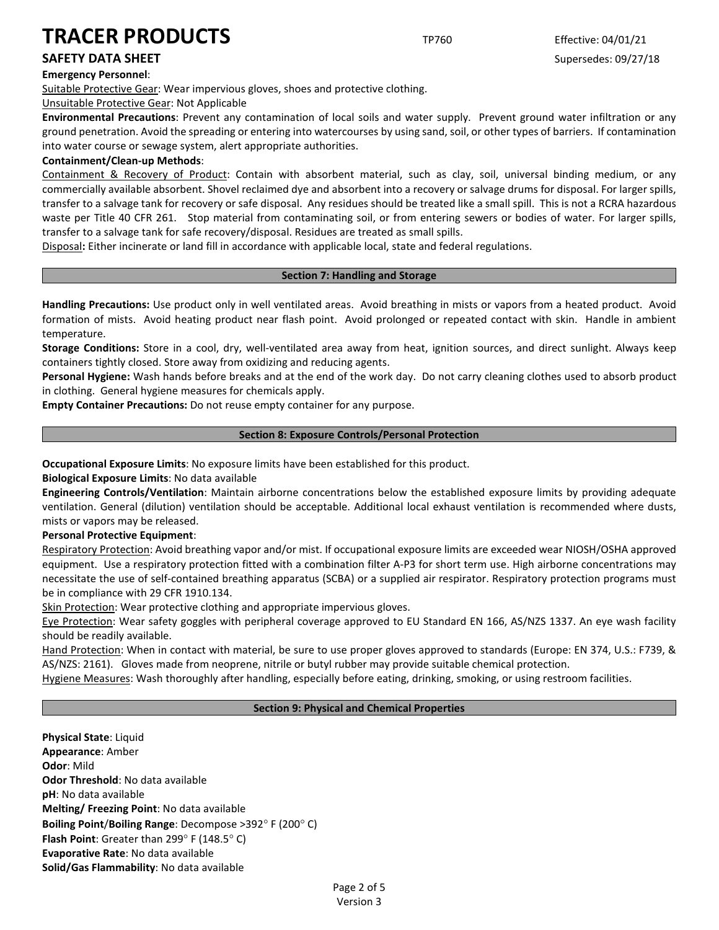# **Emergency Personnel**:

Suitable Protective Gear: Wear impervious gloves, shoes and protective clothing.

Unsuitable Protective Gear: Not Applicable

**Environmental Precautions**: Prevent any contamination of local soils and water supply. Prevent ground water infiltration or any ground penetration. Avoid the spreading or entering into watercourses by using sand, soil, or other types of barriers. If contamination into water course or sewage system, alert appropriate authorities.

# **Containment/Clean-up Methods**:

Containment & Recovery of Product: Contain with absorbent material, such as clay, soil, universal binding medium, or any commercially available absorbent. Shovel reclaimed dye and absorbent into a recovery or salvage drums for disposal. For larger spills, transfer to a salvage tank for recovery or safe disposal. Any residues should be treated like a small spill. This is not a RCRA hazardous waste per Title 40 CFR 261. Stop material from contaminating soil, or from entering sewers or bodies of water. For larger spills, transfer to a salvage tank for safe recovery/disposal. Residues are treated as small spills.

Disposal**:** Either incinerate or land fill in accordance with applicable local, state and federal regulations.

# **Section 7: Handling and Storage**

**Handling Precautions:** Use product only in well ventilated areas. Avoid breathing in mists or vapors from a heated product. Avoid formation of mists. Avoid heating product near flash point. Avoid prolonged or repeated contact with skin. Handle in ambient temperature.

**Storage Conditions:** Store in a cool, dry, well-ventilated area away from heat, ignition sources, and direct sunlight. Always keep containers tightly closed. Store away from oxidizing and reducing agents.

**Personal Hygiene:** Wash hands before breaks and at the end of the work day. Do not carry cleaning clothes used to absorb product in clothing. General hygiene measures for chemicals apply.

**Empty Container Precautions:** Do not reuse empty container for any purpose.

# **Section 8: Exposure Controls/Personal Protection**

**Occupational Exposure Limits**: No exposure limits have been established for this product.

**Biological Exposure Limits**: No data available

**Engineering Controls/Ventilation**: Maintain airborne concentrations below the established exposure limits by providing adequate ventilation. General (dilution) ventilation should be acceptable. Additional local exhaust ventilation is recommended where dusts, mists or vapors may be released.

# **Personal Protective Equipment**:

Respiratory Protection: Avoid breathing vapor and/or mist. If occupational exposure limits are exceeded wear NIOSH/OSHA approved equipment. Use a respiratory protection fitted with a combination filter A-P3 for short term use. High airborne concentrations may necessitate the use of self-contained breathing apparatus (SCBA) or a supplied air respirator. Respiratory protection programs must be in compliance with 29 CFR 1910.134.

Skin Protection: Wear protective clothing and appropriate impervious gloves.

Eye Protection: Wear safety goggles with peripheral coverage approved to EU Standard EN 166, AS/NZS 1337. An eye wash facility should be readily available.

Hand Protection: When in contact with material, be sure to use proper gloves approved to standards (Europe: EN 374, U.S.: F739, & AS/NZS: 2161). Gloves made from neoprene, nitrile or butyl rubber may provide suitable chemical protection.

Hygiene Measures: Wash thoroughly after handling, especially before eating, drinking, smoking, or using restroom facilities.

# **Section 9: Physical and Chemical Properties**

**Physical State**: Liquid **Appearance**: Amber **Odor**: Mild **Odor Threshold**: No data available **pH**: No data available **Melting/ Freezing Point**: No data available **Boiling Point**/**Boiling Range**: Decompose >392° F (200° C) **Flash Point**: Greater than 299° F (148.5° C) **Evaporative Rate**: No data available **Solid/Gas Flammability**: No data available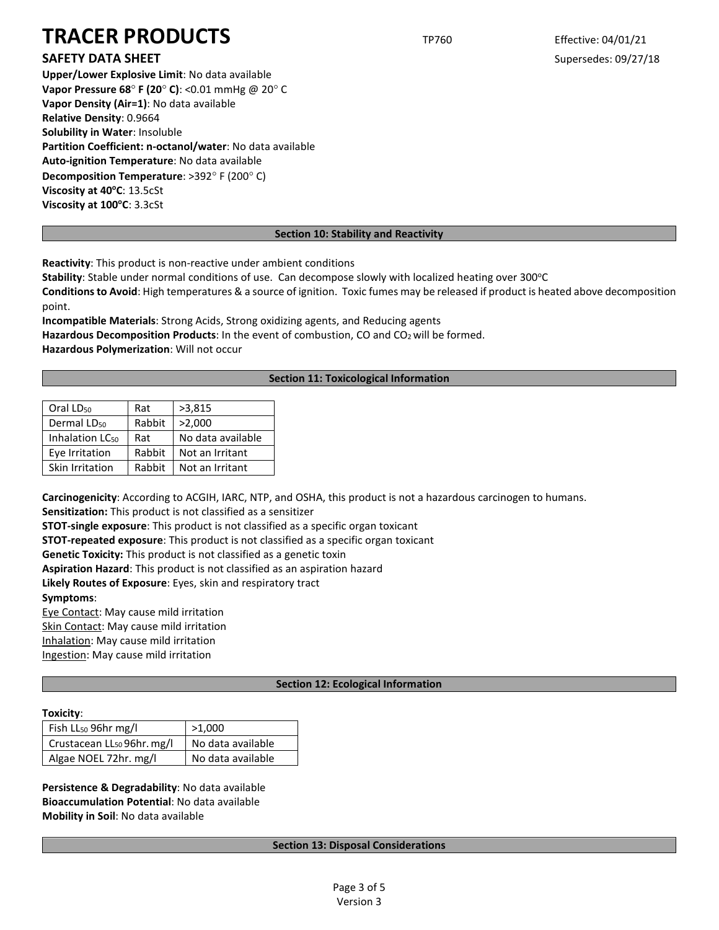# **SAFETY DATA SHEET** SUPERFOUR SUPERFOUR SUPERFOUR SUPERFOUR SUPERFOUR SUPERFOUR SUPERFOUR SUPERFOUR SUPERFOUR SUPERFOUR SUPERFOUR SUPERFOUR SUPERFOUR SUPERFOUR SUPERFOUR SUPERFOUR SUPERFOUR SUPERFOUR SUPERFOUR SUPERFOUR SU

**Upper/Lower Explosive Limit**: No data available **Vapor Pressure 68**° **F (20**° **C)**: <0.01 mmHg @ 20° C **Vapor Density (Air=1)**: No data available **Relative Density**: 0.9664 **Solubility in Water**: Insoluble **Partition Coefficient: n-octanol/water**: No data available **Auto-ignition Temperature**: No data available **Decomposition Temperature**: >392° F (200° C) **Viscosity at 40°C: 13.5cSt Viscosity at 100°C: 3.3cSt** 

# **Section 10: Stability and Reactivity**

**Reactivity**: This product is non-reactive under ambient conditions

Stability: Stable under normal conditions of use. Can decompose slowly with localized heating over 300°C

**Conditions to Avoid**: High temperatures & a source of ignition. Toxic fumes may be released if product is heated above decomposition point.

**Incompatible Materials**: Strong Acids, Strong oxidizing agents, and Reducing agents

Hazardous Decomposition Products: In the event of combustion, CO and CO<sub>2</sub> will be formed. **Hazardous Polymerization**: Will not occur

# **Section 11: Toxicological Information**

| Oral LD <sub>50</sub>       | Rat    | >3,815            |
|-----------------------------|--------|-------------------|
| Dermal LD <sub>50</sub>     | Rabbit | >2,000            |
| Inhalation LC <sub>50</sub> | Rat    | No data available |
| Eye Irritation              | Rabbit | Not an Irritant   |
| Skin Irritation             | Rabbit | Not an Irritant   |
|                             |        |                   |

**Carcinogenicity**: According to ACGIH, IARC, NTP, and OSHA, this product is not a hazardous carcinogen to humans.

**Sensitization:** This product is not classified as a sensitizer

**STOT-single exposure**: This product is not classified as a specific organ toxicant

**STOT-repeated exposure**: This product is not classified as a specific organ toxicant

**Genetic Toxicity:** This product is not classified as a genetic toxin

**Aspiration Hazard**: This product is not classified as an aspiration hazard

**Likely Routes of Exposure**: Eyes, skin and respiratory tract

**Symptoms**:

Eye Contact: May cause mild irritation

Skin Contact: May cause mild irritation

Inhalation: May cause mild irritation

Ingestion: May cause mild irritation

# **Section 12: Ecological Information**

# **Toxicity**:

| Fish LL <sub>50</sub> 96hr mg/l        | >1.000            |  |
|----------------------------------------|-------------------|--|
| Crustacean LL <sub>50</sub> 96hr. mg/l | No data available |  |
| Algae NOEL 72hr. mg/l                  | No data available |  |

**Persistence & Degradability**: No data available **Bioaccumulation Potential**: No data available **Mobility in Soil**: No data available

# **Section 13: Disposal Considerations**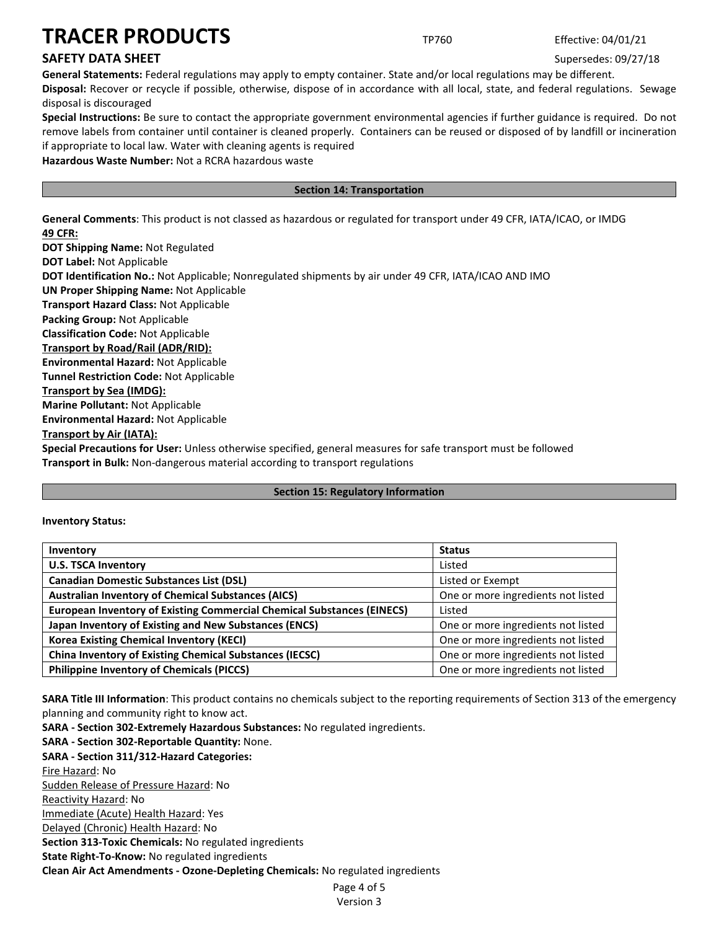# **SAFETY DATA SHEET** SUPERFOUR SUPERFOUR SUPERFOUR SUPERFOUR SUPERFOUR SUPERFOUR SUPERFOUR SUPERFOUR SUPERFOUR SUPERFOUR SUPERFOUR SUPERFOUR SUPERFOUR SUPERFOUR SUPERFOUR SUPERFOUR SUPERFOUR SUPERFOUR SUPERFOUR SUPERFOUR SU

**General Statements:** Federal regulations may apply to empty container. State and/or local regulations may be different. **Disposal:** Recover or recycle if possible, otherwise, dispose of in accordance with all local, state, and federal regulations. Sewage disposal is discouraged

**Special Instructions:** Be sure to contact the appropriate government environmental agencies if further guidance is required. Do not remove labels from container until container is cleaned properly. Containers can be reused or disposed of by landfill or incineration if appropriate to local law. Water with cleaning agents is required

**Hazardous Waste Number:** Not a RCRA hazardous waste

# **Section 14: Transportation**

**General Comments**: This product is not classed as hazardous or regulated for transport under 49 CFR, IATA/ICAO, or IMDG **49 CFR:**

**DOT Shipping Name:** Not Regulated **DOT Label:** Not Applicable **DOT Identification No.:** Not Applicable; Nonregulated shipments by air under 49 CFR, IATA/ICAO AND IMO **UN Proper Shipping Name:** Not Applicable **Transport Hazard Class:** Not Applicable **Packing Group:** Not Applicable **Classification Code:** Not Applicable **Transport by Road/Rail (ADR/RID): Environmental Hazard:** Not Applicable **Tunnel Restriction Code:** Not Applicable **Transport by Sea (IMDG): Marine Pollutant:** Not Applicable **Environmental Hazard:** Not Applicable **Transport by Air (IATA): Special Precautions for User:** Unless otherwise specified, general measures for safe transport must be followed **Transport in Bulk:** Non-dangerous material according to transport regulations

# **Section 15: Regulatory Information**

**Inventory Status:** 

| Inventory                                                                     | <b>Status</b>                      |
|-------------------------------------------------------------------------------|------------------------------------|
| <b>U.S. TSCA Inventory</b>                                                    | Listed                             |
| <b>Canadian Domestic Substances List (DSL)</b>                                | Listed or Exempt                   |
| <b>Australian Inventory of Chemical Substances (AICS)</b>                     | One or more ingredients not listed |
| <b>European Inventory of Existing Commercial Chemical Substances (EINECS)</b> | Listed                             |
| Japan Inventory of Existing and New Substances (ENCS)                         | One or more ingredients not listed |
| <b>Korea Existing Chemical Inventory (KECI)</b>                               | One or more ingredients not listed |
| <b>China Inventory of Existing Chemical Substances (IECSC)</b>                | One or more ingredients not listed |
| <b>Philippine Inventory of Chemicals (PICCS)</b>                              | One or more ingredients not listed |

**SARA Title III Information**: This product contains no chemicals subject to the reporting requirements of Section 313 of the emergency planning and community right to know act.

**SARA - Section 302-Extremely Hazardous Substances:** No regulated ingredients.

Page 4 of 5 **SARA - Section 302-Reportable Quantity:** None. **SARA - Section 311/312-Hazard Categories:** Fire Hazard: No Sudden Release of Pressure Hazard: No Reactivity Hazard: No Immediate (Acute) Health Hazard: Yes Delayed (Chronic) Health Hazard: No **Section 313-Toxic Chemicals:** No regulated ingredients **State Right-To-Know:** No regulated ingredients **Clean Air Act Amendments - Ozone-Depleting Chemicals:** No regulated ingredients

Version 3